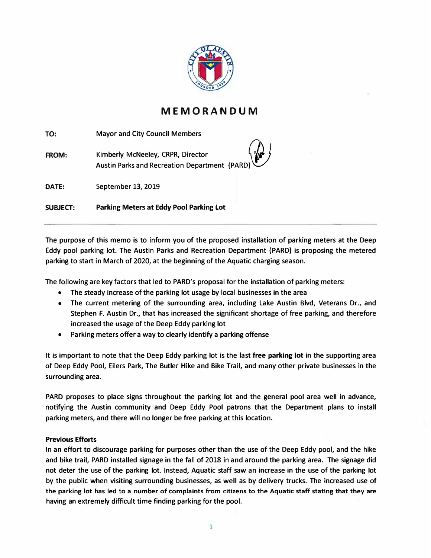

## **MEMORANDUM**

**TO: Mayor and City Council Members**

**FROM:** Kimberly McNeeley, CRPR, Director **Austin Parks and Recreation Department (PARD)\V** 

**DATE: September 13, 2019**

**SUBJECT: Parking Meters at Eddy Pool Parking Lot**

**The purpose of this memo is to inform you of the proposed installation of parking meters at the Deep Eddy pool parking Jot. The Austin Parks and Recreation Department {PARD} is proposing the metered parking to start in March of 2020, at the beginning of the Aquatic charging season.**

**The following are key factors that led to PARD's proposal for the installation of parking meters:**

- **• The steady increase of the parking lot usage by local businesses in the area**
- **• The current metering of the surrounding area, including Lake Austin Blvd, Veterans Dr., and Stephen F. Austin Dr., that has increased the significant shortage of free parking, and therefore increased the usage of the Deep Eddy parking lot**
- **• Parking meters offer a way to clearly identify a parking offense**

**It is important to note that the Deep Eddy parking lot is the last free parking lot in the supporting area of Deep Eddy Pool, Eilers Park, The Butler Hike and Bike Trail, and many other private businesses in the surrounding area.**

**PARO proposes to place signs throughout the parking lot and the general pool area well in advance, notifying the Austin community and Deep Eddy Pool patrons that the Department plans to install parking meters, and there will no longer be free parking at this location.**

## **Previous Efforts**

**In an effort to discourage parking for purposes other than the use of the Deep Eddy pool, and the hike and bike trail, PARD installed signage in the fall of 2018 in and around the parking area. The signage did not deter the use of the parking lot. Instead, Aquatic staff saw an increase in the use of the parking lot by the public when visiting surrounding businesses, as well as by delivery trucks. The increased use of the parking lot has led to a number of complaints from citizens to the Aquatic staff stating that they are having an extremely difficult time finding parking for the pool.**